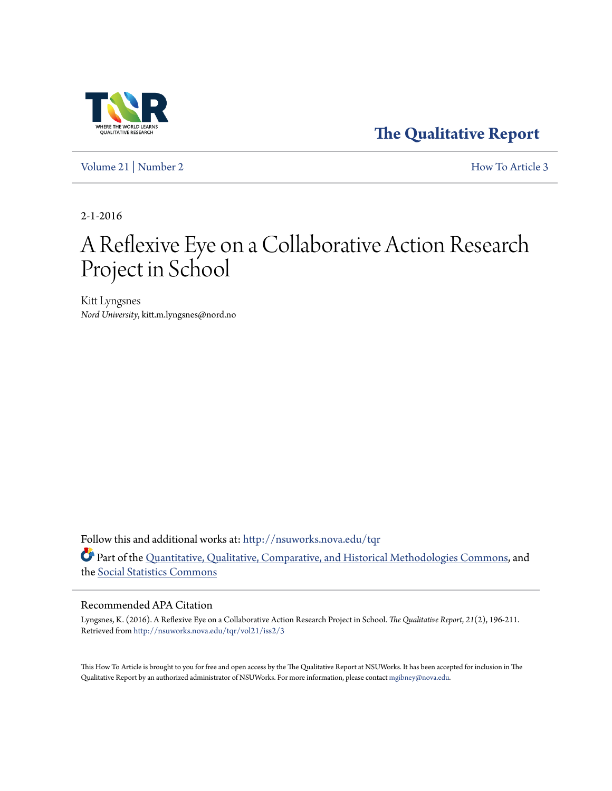

**[The Qualitative Report](http://nsuworks.nova.edu/tqr?utm_source=nsuworks.nova.edu%2Ftqr%2Fvol21%2Fiss2%2F3&utm_medium=PDF&utm_campaign=PDFCoverPages)**

[Volume 21](http://nsuworks.nova.edu/tqr/vol21?utm_source=nsuworks.nova.edu%2Ftqr%2Fvol21%2Fiss2%2F3&utm_medium=PDF&utm_campaign=PDFCoverPages) | [Number 2](http://nsuworks.nova.edu/tqr/vol21/iss2?utm_source=nsuworks.nova.edu%2Ftqr%2Fvol21%2Fiss2%2F3&utm_medium=PDF&utm_campaign=PDFCoverPages) [How To Article 3](http://nsuworks.nova.edu/tqr/vol21/iss2/3?utm_source=nsuworks.nova.edu%2Ftqr%2Fvol21%2Fiss2%2F3&utm_medium=PDF&utm_campaign=PDFCoverPages)

2-1-2016

# A Reflexive Eye on a Collaborative Action Research Project in School

Kitt Lyngsnes *Nord University*, kitt.m.lyngsnes@nord.no

Follow this and additional works at: [http://nsuworks.nova.edu/tqr](http://nsuworks.nova.edu/tqr?utm_source=nsuworks.nova.edu%2Ftqr%2Fvol21%2Fiss2%2F3&utm_medium=PDF&utm_campaign=PDFCoverPages) Part of the [Quantitative, Qualitative, Comparative, and Historical Methodologies Commons](http://network.bepress.com/hgg/discipline/423?utm_source=nsuworks.nova.edu%2Ftqr%2Fvol21%2Fiss2%2F3&utm_medium=PDF&utm_campaign=PDFCoverPages), and the [Social Statistics Commons](http://network.bepress.com/hgg/discipline/1275?utm_source=nsuworks.nova.edu%2Ftqr%2Fvol21%2Fiss2%2F3&utm_medium=PDF&utm_campaign=PDFCoverPages)

#### Recommended APA Citation

Lyngsnes, K. (2016). A Reflexive Eye on a Collaborative Action Research Project in School. *The Qualitative Report*, *21*(2), 196-211. Retrieved from [http://nsuworks.nova.edu/tqr/vol21/iss2/3](http://nsuworks.nova.edu/tqr/vol21/iss2/3?utm_source=nsuworks.nova.edu%2Ftqr%2Fvol21%2Fiss2%2F3&utm_medium=PDF&utm_campaign=PDFCoverPages)

This How To Article is brought to you for free and open access by the The Qualitative Report at NSUWorks. It has been accepted for inclusion in The Qualitative Report by an authorized administrator of NSUWorks. For more information, please contact [mgibney@nova.edu.](mailto:mgibney@nova.edu)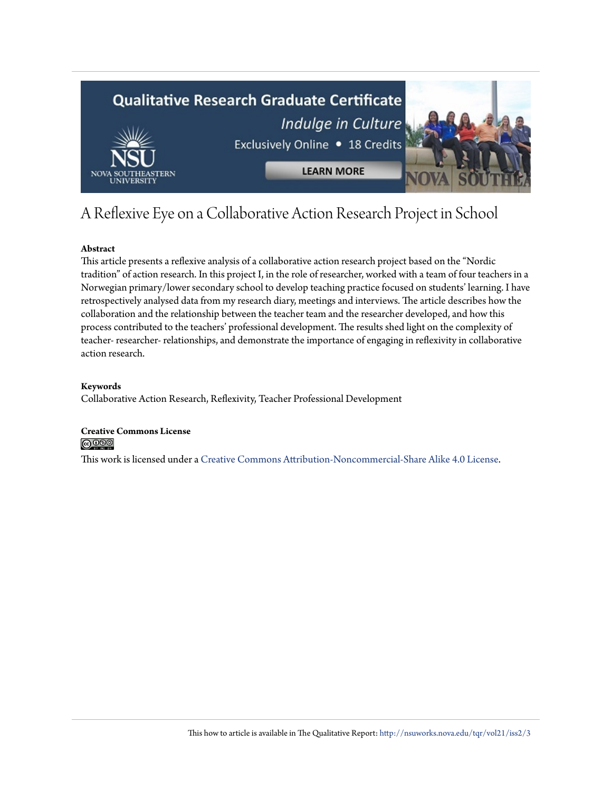

## A Reflexive Eye on a Collaborative Action Research Project in School

#### **Abstract**

This article presents a reflexive analysis of a collaborative action research project based on the "Nordic tradition" of action research. In this project I, in the role of researcher, worked with a team of four teachers in a Norwegian primary/lower secondary school to develop teaching practice focused on students' learning. I have retrospectively analysed data from my research diary, meetings and interviews. The article describes how the collaboration and the relationship between the teacher team and the researcher developed, and how this process contributed to the teachers' professional development. The results shed light on the complexity of teacher- researcher- relationships, and demonstrate the importance of engaging in reflexivity in collaborative action research.

#### **Keywords**

Collaborative Action Research, Reflexivity, Teacher Professional Development

#### **Creative Commons License**  $\bigcirc$  000

This work is licensed under a [Creative Commons Attribution-Noncommercial-Share Alike 4.0 License.](http://creativecommons.org/licenses/by-nc-sa/4.0/)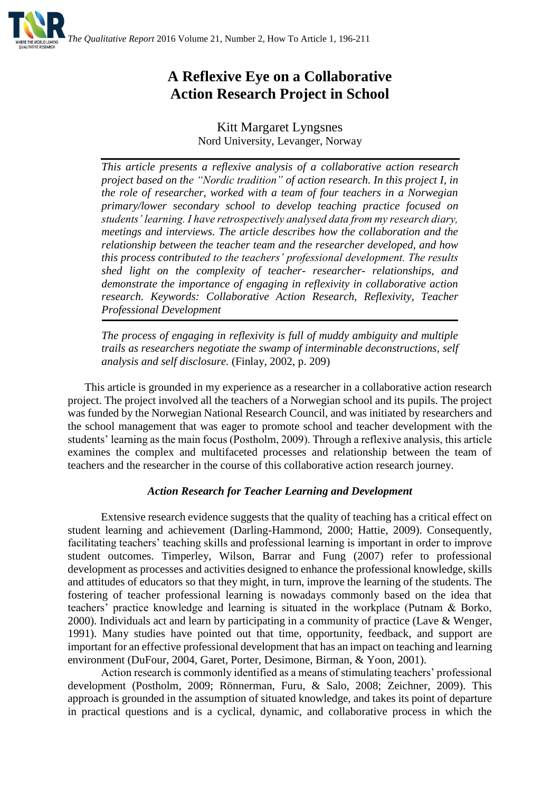

### **A Reflexive Eye on a Collaborative Action Research Project in School**

Kitt Margaret Lyngsnes Nord University, Levanger, Norway

*This article presents a reflexive analysis of a collaborative action research project based on the "Nordic tradition" of action research. In this project I, in the role of researcher, worked with a team of four teachers in a Norwegian primary/lower secondary school to develop teaching practice focused on students' learning. I have retrospectively analysed data from my research diary, meetings and interviews. The article describes how the collaboration and the relationship between the teacher team and the researcher developed, and how this process contributed to the teachers' professional development. The results shed light on the complexity of teacher- researcher- relationships, and demonstrate the importance of engaging in reflexivity in collaborative action research. Keywords: Collaborative Action Research, Reflexivity, Teacher Professional Development*

*The process of engaging in reflexivity is full of muddy ambiguity and multiple trails as researchers negotiate the swamp of interminable deconstructions, self analysis and self disclosure.* (Finlay, 2002, p. 209)

This article is grounded in my experience as a researcher in a collaborative action research project. The project involved all the teachers of a Norwegian school and its pupils. The project was funded by the Norwegian National Research Council, and was initiated by researchers and the school management that was eager to promote school and teacher development with the students' learning as the main focus (Postholm, 2009). Through a reflexive analysis, this article examines the complex and multifaceted processes and relationship between the team of teachers and the researcher in the course of this collaborative action research journey.

#### *Action Research for Teacher Learning and Development*

Extensive research evidence suggests that the quality of teaching has a critical effect on student learning and achievement (Darling-Hammond, 2000; Hattie, 2009). Consequently, facilitating teachers' teaching skills and professional learning is important in order to improve student outcomes. Timperley, Wilson, Barrar and Fung (2007) refer to professional development as processes and activities designed to enhance the professional knowledge, skills and attitudes of educators so that they might, in turn, improve the learning of the students. The fostering of teacher professional learning is nowadays commonly based on the idea that teachers' practice knowledge and learning is situated in the workplace (Putnam & Borko, 2000). Individuals act and learn by participating in a community of practice (Lave & Wenger, 1991). Many studies have pointed out that time, opportunity, feedback, and support are important for an effective professional development that has an impact on teaching and learning environment [\(DuFour, 2004,](http://www.sciencedirect.com/science/article/pii/S0742051X08001455#bib8) Garet, Porter, Desimone, Birman, & Yoon, 2001).

Action research is commonly identified as a means of stimulating teachers' professional development (Postholm, 2009; Rönnerman, Furu, & Salo, 2008; Zeichner, 2009). This approach is grounded in the assumption of situated knowledge, and takes its point of departure in practical questions and is a cyclical, dynamic, and collaborative process in which the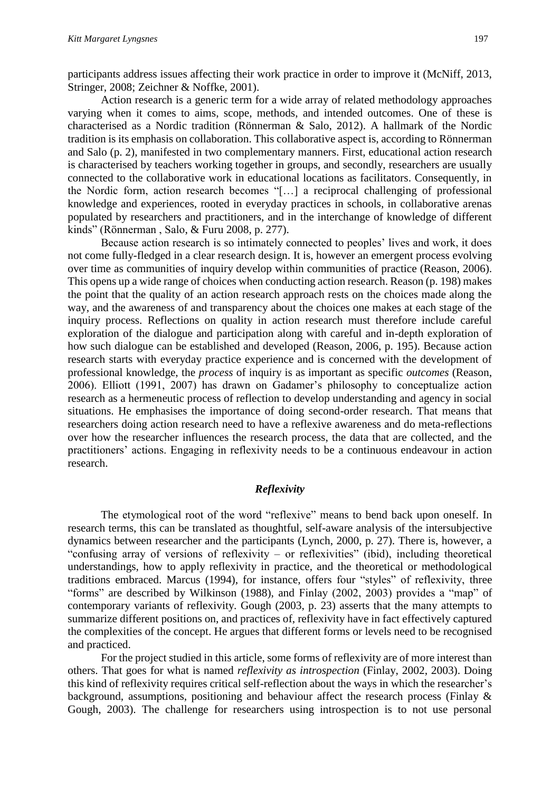participants address issues affecting their work practice in order to improve it (McNiff, 2013, Stringer, 2008; Zeichner & Noffke, 2001).

Action research is a generic term for a wide array of related methodology approaches varying when it comes to aims, scope, methods, and intended outcomes. One of these is characterised as a Nordic tradition (Rönnerman & Salo, 2012). A hallmark of the Nordic tradition is its emphasis on collaboration. This collaborative aspect is, according to Rönnerman and Salo (p. 2), manifested in two complementary manners. First, educational action research is characterised by teachers working together in groups, and secondly, researchers are usually connected to the collaborative work in educational locations as facilitators. Consequently, in the Nordic form, action research becomes "[…] a reciprocal challenging of professional knowledge and experiences, rooted in everyday practices in schools, in collaborative arenas populated by researchers and practitioners, and in the interchange of knowledge of different kinds" (Rönnerman , Salo, & Furu 2008, p. 277).

Because action research is so intimately connected to peoples' lives and work, it does not come fully-fledged in a clear research design. It is, however an emergent process evolving over time as communities of inquiry develop within communities of practice (Reason, 2006). This opens up a wide range of choices when conducting action research. Reason (p. 198) makes the point that the quality of an action research approach rests on the choices made along the way, and the awareness of and transparency about the choices one makes at each stage of the inquiry process. Reflections on quality in action research must therefore include careful exploration of the dialogue and participation along with careful and in-depth exploration of how such dialogue can be established and developed (Reason, 2006, p. 195). Because action research starts with everyday practice experience and is concerned with the development of professional knowledge, the *process* of inquiry is as important as specific *outcomes* (Reason, 2006). Elliott (1991, 2007) has drawn on Gadamer's philosophy to conceptualize action research as a hermeneutic process of reflection to develop understanding and agency in social situations. He emphasises the importance of doing second-order research. That means that researchers doing action research need to have a reflexive awareness and do meta-reflections over how the researcher influences the research process, the data that are collected, and the practitioners' actions. Engaging in reflexivity needs to be a continuous endeavour in action research.

#### *Reflexivity*

The etymological root of the word "reflexive" means to bend back upon oneself. In research terms, this can be translated as thoughtful, self-aware analysis of the intersubjective dynamics between researcher and the participants (Lynch, 2000, p. 27). There is, however, a "confusing array of versions of reflexivity – or reflexivities" (ibid), including theoretical understandings, how to apply reflexivity in practice, and the theoretical or methodological traditions embraced. Marcus (1994), for instance, offers four "styles" of reflexivity, three "forms" are described by Wilkinson (1988), and Finlay (2002, 2003) provides a "map" of contemporary variants of reflexivity. Gough (2003, p. 23) asserts that the many attempts to summarize different positions on, and practices of, reflexivity have in fact effectively captured the complexities of the concept. He argues that different forms or levels need to be recognised and practiced.

For the project studied in this article, some forms of reflexivity are of more interest than others. That goes for what is named *reflexivity as introspection* (Finlay, 2002, 2003). Doing this kind of reflexivity requires critical self-reflection about the ways in which the researcher's background, assumptions, positioning and behaviour affect the research process (Finlay & Gough, 2003). The challenge for researchers using introspection is to not use personal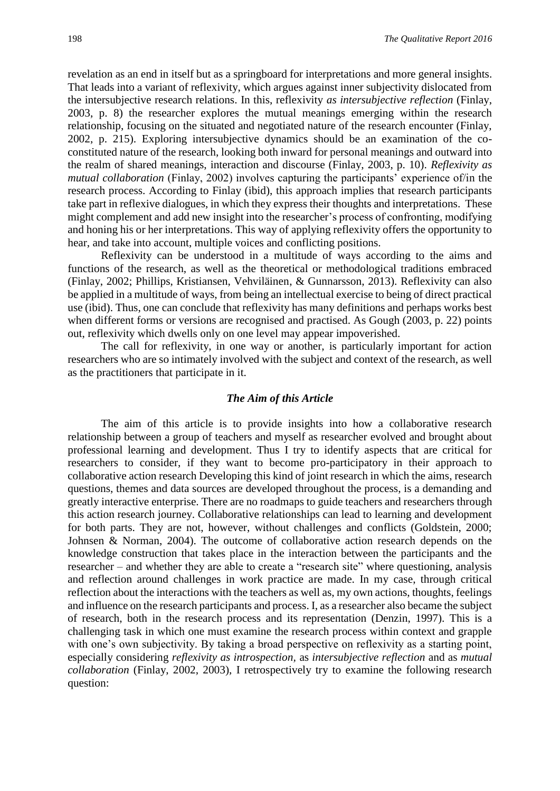revelation as an end in itself but as a springboard for interpretations and more general insights. That leads into a variant of reflexivity, which argues against inner subjectivity dislocated from the intersubjective research relations. In this, reflexivity *as intersubjective reflection* (Finlay, 2003, p. 8) the researcher explores the mutual meanings emerging within the research relationship, focusing on the situated and negotiated nature of the research encounter (Finlay, 2002, p. 215). Exploring intersubjective dynamics should be an examination of the coconstituted nature of the research, looking both inward for personal meanings and outward into the realm of shared meanings, interaction and discourse (Finlay, 2003, p. 10). *Reflexivity as mutual collaboration* (Finlay, 2002) involves capturing the participants' experience of/in the research process. According to Finlay (ibid), this approach implies that research participants take part in reflexive dialogues, in which they express their thoughts and interpretations. These might complement and add new insight into the researcher's process of confronting, modifying and honing his or her interpretations. This way of applying reflexivity offers the opportunity to hear, and take into account, multiple voices and conflicting positions.

Reflexivity can be understood in a multitude of ways according to the aims and functions of the research, as well as the theoretical or methodological traditions embraced (Finlay, 2002; Phillips, Kristiansen, Vehviläinen, & Gunnarsson, 2013). Reflexivity can also be applied in a multitude of ways, from being an intellectual exercise to being of direct practical use (ibid). Thus, one can conclude that reflexivity has many definitions and perhaps works best when different forms or versions are recognised and practised. As Gough (2003, p. 22) points out, reflexivity which dwells only on one level may appear impoverished.

The call for reflexivity, in one way or another, is particularly important for action researchers who are so intimately involved with the subject and context of the research, as well as the practitioners that participate in it.

#### *The Aim of this Article*

The aim of this article is to provide insights into how a collaborative research relationship between a group of teachers and myself as researcher evolved and brought about professional learning and development. Thus I try to identify aspects that are critical for researchers to consider, if they want to become pro-participatory in their approach to collaborative action research Developing this kind of joint research in which the aims, research questions, themes and data sources are developed throughout the process, is a demanding and greatly interactive enterprise. There are no roadmaps to guide teachers and researchers through this action research journey. Collaborative relationships can lead to learning and development for both parts. They are not, however, without challenges and conflicts (Goldstein, 2000; Johnsen & Norman, 2004). The outcome of collaborative action research depends on the knowledge construction that takes place in the interaction between the participants and the researcher – and whether they are able to create a "research site" where questioning, analysis and reflection around challenges in work practice are made. In my case, through critical reflection about the interactions with the teachers as well as, my own actions, thoughts, feelings and influence on the research participants and process. I, as a researcher also became the subject of research, both in the research process and its representation (Denzin, 1997). This is a challenging task in which one must examine the research process within context and grapple with one's own subjectivity. By taking a broad perspective on reflexivity as a starting point, especially considering *reflexivity as introspection,* as *intersubjective reflection* and as *mutual collaboration* (Finlay, 2002, 2003), I retrospectively try to examine the following research question: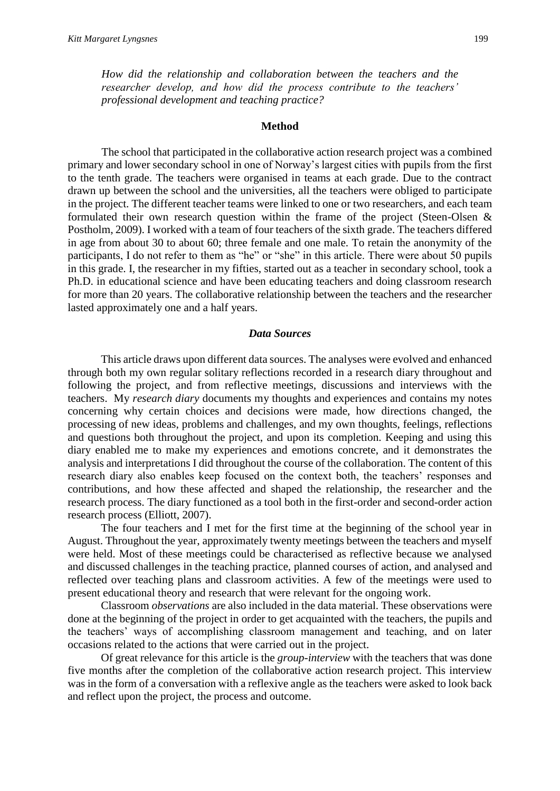*How did the relationship and collaboration between the teachers and the researcher develop, and how did the process contribute to the teachers' professional development and teaching practice?*

#### **Method**

The school that participated in the collaborative action research project was a combined primary and lower secondary school in one of Norway's largest cities with pupils from the first to the tenth grade. The teachers were organised in teams at each grade. Due to the contract drawn up between the school and the universities, all the teachers were obliged to participate in the project. The different teacher teams were linked to one or two researchers, and each team formulated their own research question within the frame of the project (Steen-Olsen & Postholm, 2009). I worked with a team of four teachers of the sixth grade. The teachers differed in age from about 30 to about 60; three female and one male. To retain the anonymity of the participants, I do not refer to them as "he" or "she" in this article. There were about 50 pupils in this grade. I, the researcher in my fifties, started out as a teacher in secondary school, took a Ph.D. in educational science and have been educating teachers and doing classroom research for more than 20 years. The collaborative relationship between the teachers and the researcher lasted approximately one and a half years.

#### *Data Sources*

This article draws upon different data sources. The analyses were evolved and enhanced through both my own regular solitary reflections recorded in a research diary throughout and following the project, and from reflective meetings, discussions and interviews with the teachers. My *research diary* documents my thoughts and experiences and contains my notes concerning why certain choices and decisions were made, how directions changed, the processing of new ideas, problems and challenges, and my own thoughts, feelings, reflections and questions both throughout the project, and upon its completion. Keeping and using this diary enabled me to make my experiences and emotions concrete, and it demonstrates the analysis and interpretations I did throughout the course of the collaboration. The content of this research diary also enables keep focused on the context both, the teachers' responses and contributions, and how these affected and shaped the relationship, the researcher and the research process. The diary functioned as a tool both in the first-order and second-order action research process (Elliott, 2007).

The four teachers and I met for the first time at the beginning of the school year in August. Throughout the year, approximately twenty meetings between the teachers and myself were held. Most of these meetings could be characterised as reflective because we analysed and discussed challenges in the teaching practice, planned courses of action, and analysed and reflected over teaching plans and classroom activities. A few of the meetings were used to present educational theory and research that were relevant for the ongoing work.

Classroom *observations* are also included in the data material. These observations were done at the beginning of the project in order to get acquainted with the teachers, the pupils and the teachers' ways of accomplishing classroom management and teaching, and on later occasions related to the actions that were carried out in the project.

Of great relevance for this article is the *group-interview* with the teachers that was done five months after the completion of the collaborative action research project. This interview was in the form of a conversation with a reflexive angle as the teachers were asked to look back and reflect upon the project, the process and outcome.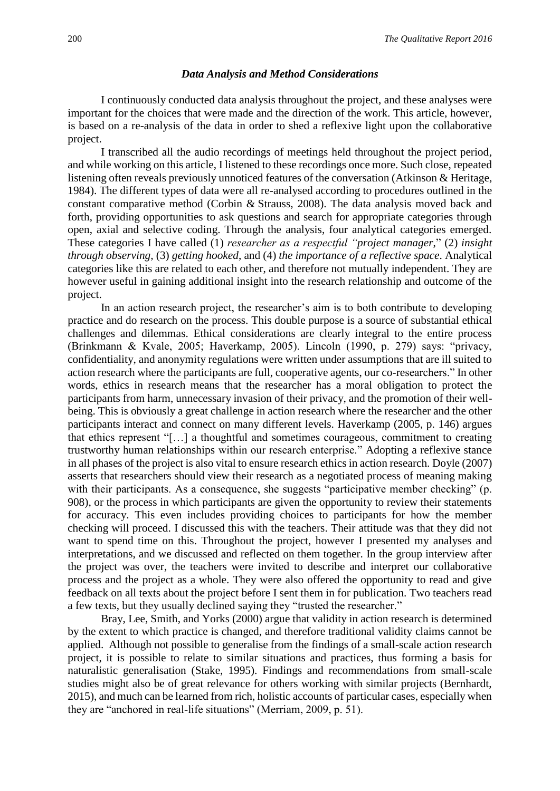#### *Data Analysis and Method Considerations*

I continuously conducted data analysis throughout the project, and these analyses were important for the choices that were made and the direction of the work. This article, however, is based on a re-analysis of the data in order to shed a reflexive light upon the collaborative project.

I transcribed all the audio recordings of meetings held throughout the project period, and while working on this article, I listened to these recordings once more. Such close, repeated listening often reveals previously unnoticed features of the conversation [\(Atkinson & Heritage,](http://www.sciencedirect.com/science/article/pii/S0742051X08000504#bib4)  [1984\).](http://www.sciencedirect.com/science/article/pii/S0742051X08000504#bib4) The different types of data were all re-analysed according to procedures outlined in the constant comparative method [\(Corbin](http://www.sciencedirect.com/science/article/pii/S0742051X08000504#bib26) & Strauss, 2008). The data analysis moved back and forth, providing opportunities to ask questions and search for appropriate categories through open, axial and selective coding. Through the analysis, four analytical categories emerged. These categories I have called (1) *researcher as a respectful "project manager*," (2) *insight through observing,* (3) *getting hooked*, and (4) *the importance of a reflective space*. Analytical categories like this are related to each other, and therefore not mutually independent. They are however useful in gaining additional insight into the research relationship and outcome of the project.

In an action research project, the researcher's aim is to both contribute to developing practice and do research on the process. This double purpose is a source of substantial ethical challenges and dilemmas. Ethical considerations are clearly integral to the entire process (Brinkmann & Kvale, 2005; Haverkamp, 2005). Lincoln (1990, p. 279) says: "privacy, confidentiality, and anonymity regulations were written under assumptions that are ill suited to action research where the participants are full, cooperative agents, our co-researchers." In other words, ethics in research means that the researcher has a moral obligation to protect the participants from harm, unnecessary invasion of their privacy, and the promotion of their wellbeing. This is obviously a great challenge in action research where the researcher and the other participants interact and connect on many different levels. Haverkamp (2005, p. 146) argues that ethics represent "[…] a thoughtful and sometimes courageous, commitment to creating trustworthy human relationships within our research enterprise." Adopting a reflexive stance in all phases of the project is also vital to ensure research ethics in action research. Doyle (2007) asserts that researchers should view their research as a negotiated process of meaning making with their participants. As a consequence, she suggests "participative member checking" (p. 908), or the process in which participants are given the opportunity to review their statements for accuracy. This even includes providing choices to participants for how the member checking will proceed. I discussed this with the teachers. Their attitude was that they did not want to spend time on this. Throughout the project, however I presented my analyses and interpretations, and we discussed and reflected on them together. In the group interview after the project was over, the teachers were invited to describe and interpret our collaborative process and the project as a whole. They were also offered the opportunity to read and give feedback on all texts about the project before I sent them in for publication. Two teachers read a few texts, but they usually declined saying they "trusted the researcher."

Bray, Lee, Smith, and Yorks (2000) argue that validity in action research is determined by the extent to which practice is changed, and therefore traditional validity claims cannot be applied. Although not possible to generalise from the findings of a small-scale action research project, it is possible to relate to similar situations and practices, thus forming a basis for naturalistic generalisation (Stake, 1995). Findings and recommendations from small-scale studies might also be of great relevance for others working with similar projects (Bernhardt, 2015), and much can be learned from rich, holistic accounts of particular cases, especially when they are "anchored in real-life situations" (Merriam, 2009, p. 51).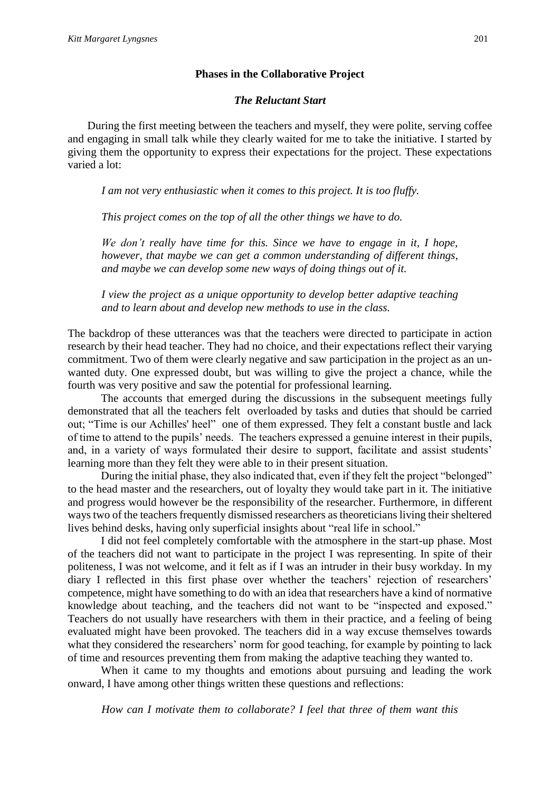#### **Phases in the Collaborative Project**

#### *The Reluctant Start*

During the first meeting between the teachers and myself, they were polite, serving coffee and engaging in small talk while they clearly waited for me to take the initiative. I started by giving them the opportunity to express their expectations for the project. These expectations varied a lot:

*I am not very enthusiastic when it comes to this project. It is too fluffy.*

*This project comes on the top of all the other things we have to do.*

*We don't really have time for this. Since we have to engage in it, I hope, however, that maybe we can get a common understanding of different things, and maybe we can develop some new ways of doing things out of it.*

*I view the project as a unique opportunity to develop better adaptive teaching and to learn about and develop new methods to use in the class.*

The backdrop of these utterances was that the teachers were directed to participate in action research by their head teacher. They had no choice, and their expectations reflect their varying commitment. Two of them were clearly negative and saw participation in the project as an unwanted duty. One expressed doubt, but was willing to give the project a chance, while the fourth was very positive and saw the potential for professional learning.

The accounts that emerged during the discussions in the subsequent meetings fully demonstrated that all the teachers felt overloaded by tasks and duties that should be carried out; "Time is our Achilles' heel" one of them expressed. They felt a constant bustle and lack of time to attend to the pupils' needs. The teachers expressed a genuine interest in their pupils, and, in a variety of ways formulated their desire to support, facilitate and assist students' learning more than they felt they were able to in their present situation.

During the initial phase, they also indicated that, even if they felt the project "belonged" to the head master and the researchers, out of loyalty they would take part in it. The initiative and progress would however be the responsibility of the researcher. Furthermore, in different ways two of the teachers frequently dismissed researchers as theoreticians living their sheltered lives behind desks, having only superficial insights about "real life in school."

I did not feel completely comfortable with the atmosphere in the start-up phase. Most of the teachers did not want to participate in the project I was representing. In spite of their politeness, I was not welcome, and it felt as if I was an intruder in their busy workday. In my diary I reflected in this first phase over whether the teachers' rejection of researchers' competence, might have something to do with an idea that researchers have a kind of normative knowledge about teaching, and the teachers did not want to be "inspected and exposed." Teachers do not usually have researchers with them in their practice, and a feeling of being evaluated might have been provoked. The teachers did in a way excuse themselves towards what they considered the researchers' norm for good teaching, for example by pointing to lack of time and resources preventing them from making the adaptive teaching they wanted to.

When it came to my thoughts and emotions about pursuing and leading the work onward, I have among other things written these questions and reflections:

*How can I motivate them to collaborate? I feel that three of them want this*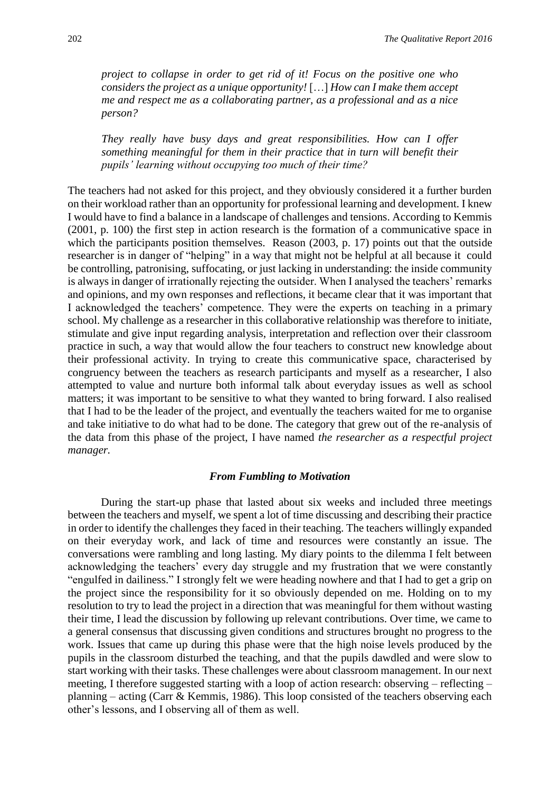*project to collapse in order to get rid of it! Focus on the positive one who considers the project as a unique opportunity!* […] *How can I make them accept me and respect me as a collaborating partner, as a professional and as a nice person?* 

*They really have busy days and great responsibilities. How can I offer something meaningful for them in their practice that in turn will benefit their pupils' learning without occupying too much of their time?*

The teachers had not asked for this project, and they obviously considered it a further burden on their workload rather than an opportunity for professional learning and development. I knew I would have to find a balance in a landscape of challenges and tensions. According to Kemmis (2001, p. 100) the first step in action research is the formation of a communicative space in which the participants position themselves. Reason (2003, p. 17) points out that the outside researcher is in danger of "helping" in a way that might not be helpful at all because it could be controlling, patronising, suffocating, or just lacking in understanding: the inside community is always in danger of irrationally rejecting the outsider. When I analysed the teachers' remarks and opinions, and my own responses and reflections, it became clear that it was important that I acknowledged the teachers' competence. They were the experts on teaching in a primary school. My challenge as a researcher in this collaborative relationship was therefore to initiate, stimulate and give input regarding analysis, interpretation and reflection over their classroom practice in such, a way that would allow the four teachers to construct new knowledge about their professional activity. In trying to create this communicative space, characterised by congruency between the teachers as research participants and myself as a researcher, I also attempted to value and nurture both informal talk about everyday issues as well as school matters; it was important to be sensitive to what they wanted to bring forward. I also realised that I had to be the leader of the project, and eventually the teachers waited for me to organise and take initiative to do what had to be done. The category that grew out of the re-analysis of the data from this phase of the project, I have named *the researcher as a respectful project manager.*

#### *From Fumbling to Motivation*

During the start-up phase that lasted about six weeks and included three meetings between the teachers and myself, we spent a lot of time discussing and describing their practice in order to identify the challenges they faced in their teaching. The teachers willingly expanded on their everyday work, and lack of time and resources were constantly an issue. The conversations were rambling and long lasting. My diary points to the dilemma I felt between acknowledging the teachers' every day struggle and my frustration that we were constantly "engulfed in dailiness." I strongly felt we were heading nowhere and that I had to get a grip on the project since the responsibility for it so obviously depended on me. Holding on to my resolution to try to lead the project in a direction that was meaningful for them without wasting their time, I lead the discussion by following up relevant contributions. Over time, we came to a general consensus that discussing given conditions and structures brought no progress to the work. Issues that came up during this phase were that the high noise levels produced by the pupils in the classroom disturbed the teaching, and that the pupils dawdled and were slow to start working with their tasks. These challenges were about classroom management. In our next meeting, I therefore suggested starting with a loop of action research: observing – reflecting – planning – acting (Carr & Kemmis, 1986). This loop consisted of the teachers observing each other's lessons, and I observing all of them as well.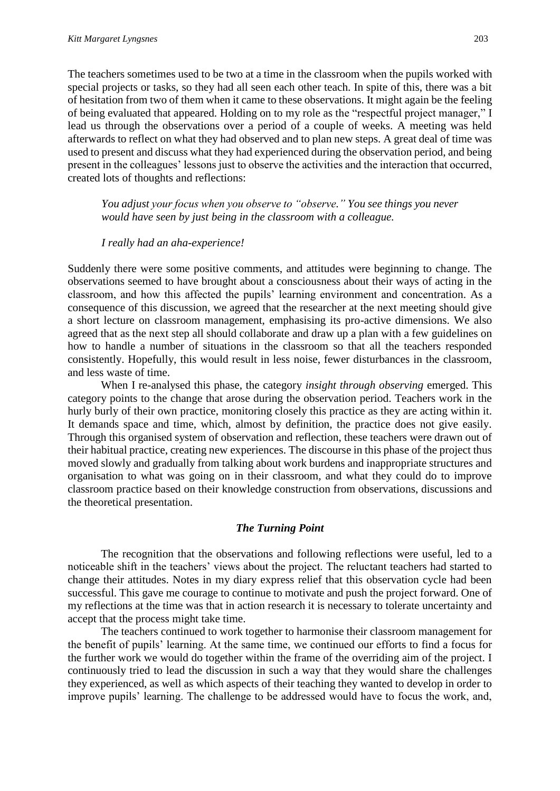The teachers sometimes used to be two at a time in the classroom when the pupils worked with special projects or tasks, so they had all seen each other teach. In spite of this, there was a bit of hesitation from two of them when it came to these observations. It might again be the feeling of being evaluated that appeared. Holding on to my role as the "respectful project manager," I lead us through the observations over a period of a couple of weeks. A meeting was held afterwards to reflect on what they had observed and to plan new steps. A great deal of time was used to present and discuss what they had experienced during the observation period, and being present in the colleagues' lessons just to observe the activities and the interaction that occurred, created lots of thoughts and reflections:

*You adjust your focus when you observe to "observe." You see things you never would have seen by just being in the classroom with a colleague.*

#### *I really had an aha-experience!*

Suddenly there were some positive comments, and attitudes were beginning to change. The observations seemed to have brought about a consciousness about their ways of acting in the classroom, and how this affected the pupils' learning environment and concentration. As a consequence of this discussion, we agreed that the researcher at the next meeting should give a short lecture on classroom management, emphasising its pro-active dimensions. We also agreed that as the next step all should collaborate and draw up a plan with a few guidelines on how to handle a number of situations in the classroom so that all the teachers responded consistently. Hopefully, this would result in less noise, fewer disturbances in the classroom, and less waste of time.

When I re-analysed this phase, the category *insight through observing* emerged. This category points to the change that arose during the observation period. Teachers work in the hurly burly of their own practice, monitoring closely this practice as they are acting within it. It demands space and time, which, almost by definition, the practice does not give easily. Through this organised system of observation and reflection, these teachers were drawn out of their habitual practice, creating new experiences. The discourse in this phase of the project thus moved slowly and gradually from talking about work burdens and inappropriate structures and organisation to what was going on in their classroom, and what they could do to improve classroom practice based on their knowledge construction from observations, discussions and the theoretical presentation.

#### *The Turning Point*

The recognition that the observations and following reflections were useful, led to a noticeable shift in the teachers' views about the project. The reluctant teachers had started to change their attitudes. Notes in my diary express relief that this observation cycle had been successful. This gave me courage to continue to motivate and push the project forward. One of my reflections at the time was that in action research it is necessary to tolerate uncertainty and accept that the process might take time.

The teachers continued to work together to harmonise their classroom management for the benefit of pupils' learning. At the same time, we continued our efforts to find a focus for the further work we would do together within the frame of the overriding aim of the project. I continuously tried to lead the discussion in such a way that they would share the challenges they experienced, as well as which aspects of their teaching they wanted to develop in order to improve pupils' learning. The challenge to be addressed would have to focus the work, and,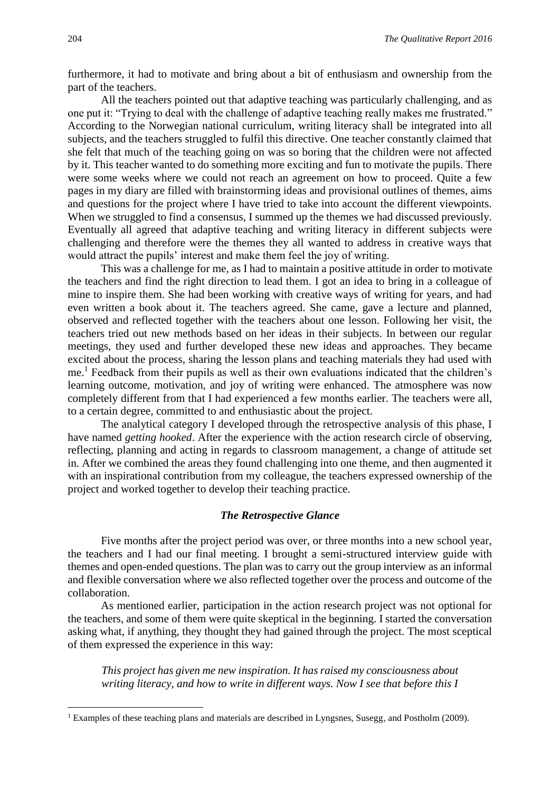furthermore, it had to motivate and bring about a bit of enthusiasm and ownership from the part of the teachers.

All the teachers pointed out that adaptive teaching was particularly challenging, and as one put it: "Trying to deal with the challenge of adaptive teaching really makes me frustrated." According to the Norwegian national curriculum, writing literacy shall be integrated into all subjects, and the teachers struggled to fulfil this directive. One teacher constantly claimed that she felt that much of the teaching going on was so boring that the children were not affected by it. This teacher wanted to do something more exciting and fun to motivate the pupils. There were some weeks where we could not reach an agreement on how to proceed. Quite a few pages in my diary are filled with brainstorming ideas and provisional outlines of themes, aims and questions for the project where I have tried to take into account the different viewpoints. When we struggled to find a consensus, I summed up the themes we had discussed previously. Eventually all agreed that adaptive teaching and writing literacy in different subjects were challenging and therefore were the themes they all wanted to address in creative ways that would attract the pupils' interest and make them feel the joy of writing.

This was a challenge for me, as I had to maintain a positive attitude in order to motivate the teachers and find the right direction to lead them. I got an idea to bring in a colleague of mine to inspire them. She had been working with creative ways of writing for years, and had even written a book about it. The teachers agreed. She came, gave a lecture and planned, observed and reflected together with the teachers about one lesson. Following her visit, the teachers tried out new methods based on her ideas in their subjects. In between our regular meetings, they used and further developed these new ideas and approaches. They became excited about the process, sharing the lesson plans and teaching materials they had used with me.<sup>1</sup> Feedback from their pupils as well as their own evaluations indicated that the children's learning outcome, motivation, and joy of writing were enhanced. The atmosphere was now completely different from that I had experienced a few months earlier. The teachers were all, to a certain degree, committed to and enthusiastic about the project.

The analytical category I developed through the retrospective analysis of this phase, I have named *getting hooked*. After the experience with the action research circle of observing, reflecting, planning and acting in regards to classroom management, a change of attitude set in. After we combined the areas they found challenging into one theme, and then augmented it with an inspirational contribution from my colleague, the teachers expressed ownership of the project and worked together to develop their teaching practice.

#### *The Retrospective Glance*

Five months after the project period was over, or three months into a new school year, the teachers and I had our final meeting. I brought a semi-structured interview guide with themes and open-ended questions. The plan was to carry out the group interview as an informal and flexible conversation where we also reflected together over the process and outcome of the collaboration.

As mentioned earlier, participation in the action research project was not optional for the teachers, and some of them were quite skeptical in the beginning. I started the conversation asking what, if anything, they thought they had gained through the project. The most sceptical of them expressed the experience in this way:

*This project has given me new inspiration. It has raised my consciousness about writing literacy, and how to write in different ways. Now I see that before this I* 

**.** 

<sup>&</sup>lt;sup>1</sup> Examples of these teaching plans and materials are described in Lyngsnes, Susegg, and Postholm (2009).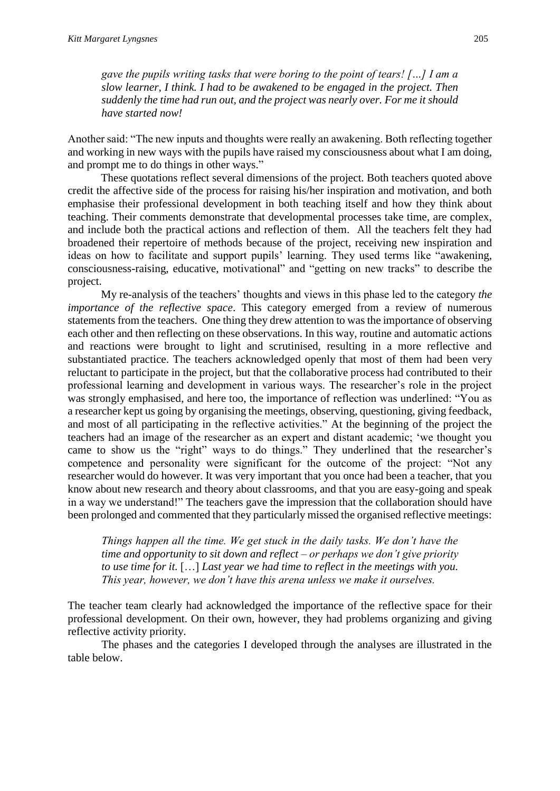*gave the pupils writing tasks that were boring to the point of tears! […] I am a slow learner, I think. I had to be awakened to be engaged in the project. Then suddenly the time had run out, and the project was nearly over. For me it should have started now!*

Another said: "The new inputs and thoughts were really an awakening. Both reflecting together and working in new ways with the pupils have raised my consciousness about what I am doing, and prompt me to do things in other ways."

These quotations reflect several dimensions of the project. Both teachers quoted above credit the affective side of the process for raising his/her inspiration and motivation, and both emphasise their professional development in both teaching itself and how they think about teaching. Their comments demonstrate that developmental processes take time, are complex, and include both the practical actions and reflection of them. All the teachers felt they had broadened their repertoire of methods because of the project, receiving new inspiration and ideas on how to facilitate and support pupils' learning. They used terms like "awakening, consciousness-raising, educative, motivational" and "getting on new tracks" to describe the project.

My re-analysis of the teachers' thoughts and views in this phase led to the category *the importance of the reflective space*. This category emerged from a review of numerous statements from the teachers. One thing they drew attention to was the importance of observing each other and then reflecting on these observations. In this way, routine and automatic actions and reactions were brought to light and scrutinised, resulting in a more reflective and substantiated practice. The teachers acknowledged openly that most of them had been very reluctant to participate in the project, but that the collaborative process had contributed to their professional learning and development in various ways. The researcher's role in the project was strongly emphasised, and here too, the importance of reflection was underlined: "You as a researcher kept us going by organising the meetings, observing, questioning, giving feedback, and most of all participating in the reflective activities." At the beginning of the project the teachers had an image of the researcher as an expert and distant academic; 'we thought you came to show us the "right" ways to do things." They underlined that the researcher's competence and personality were significant for the outcome of the project: "Not any researcher would do however. It was very important that you once had been a teacher, that you know about new research and theory about classrooms, and that you are easy-going and speak in a way we understand!" The teachers gave the impression that the collaboration should have been prolonged and commented that they particularly missed the organised reflective meetings:

*Things happen all the time. We get stuck in the daily tasks. We don't have the time and opportunity to sit down and reflect – or perhaps we don't give priority to use time for it.* […] *Last year we had time to reflect in the meetings with you. This year, however, we don't have this arena unless we make it ourselves.* 

The teacher team clearly had acknowledged the importance of the reflective space for their professional development. On their own, however, they had problems organizing and giving reflective activity priority.

The phases and the categories I developed through the analyses are illustrated in the table below.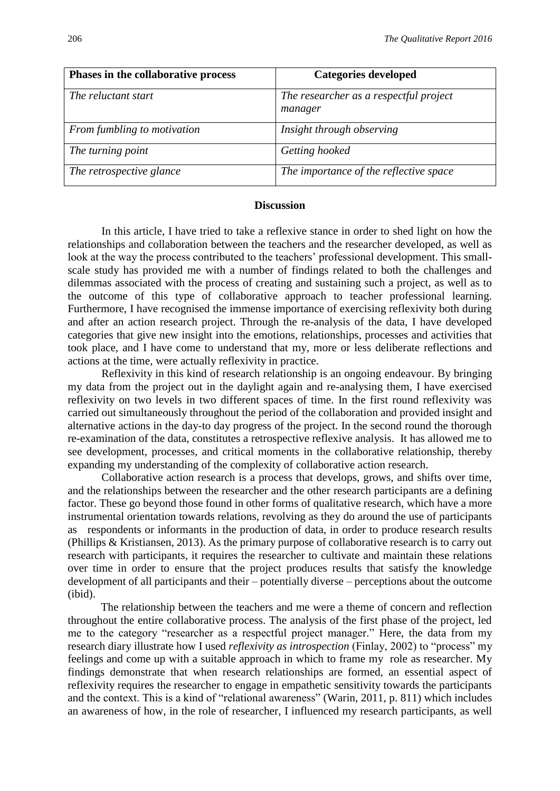| Phases in the collaborative process | <b>Categories developed</b>                       |
|-------------------------------------|---------------------------------------------------|
| The reluctant start                 | The researcher as a respectful project<br>manager |
| From fumbling to motivation         | Insight through observing                         |
| The turning point                   | Getting hooked                                    |
| The retrospective glance            | The importance of the reflective space            |

#### **Discussion**

In this article, I have tried to take a reflexive stance in order to shed light on how the relationships and collaboration between the teachers and the researcher developed, as well as look at the way the process contributed to the teachers' professional development. This smallscale study has provided me with a number of findings related to both the challenges and dilemmas associated with the process of creating and sustaining such a project, as well as to the outcome of this type of collaborative approach to teacher professional learning. Furthermore, I have recognised the immense importance of exercising reflexivity both during and after an action research project. Through the re-analysis of the data, I have developed categories that give new insight into the emotions, relationships, processes and activities that took place, and I have come to understand that my, more or less deliberate reflections and actions at the time, were actually reflexivity in practice.

Reflexivity in this kind of research relationship is an ongoing endeavour. By bringing my data from the project out in the daylight again and re-analysing them, I have exercised reflexivity on two levels in two different spaces of time. In the first round reflexivity was carried out simultaneously throughout the period of the collaboration and provided insight and alternative actions in the day-to day progress of the project. In the second round the thorough re-examination of the data, constitutes a retrospective reflexive analysis. It has allowed me to see development, processes, and critical moments in the collaborative relationship, thereby expanding my understanding of the complexity of collaborative action research.

Collaborative action research is a process that develops, grows, and shifts over time, and the relationships between the researcher and the other research participants are a defining factor. These go beyond those found in other forms of qualitative research, which have a more instrumental orientation towards relations, revolving as they do around the use of participants as respondents or informants in the production of data, in order to produce research results (Phillips & Kristiansen, 2013). As the primary purpose of collaborative research is to carry out research with participants, it requires the researcher to cultivate and maintain these relations over time in order to ensure that the project produces results that satisfy the knowledge development of all participants and their – potentially diverse – perceptions about the outcome (ibid).

The relationship between the teachers and me were a theme of concern and reflection throughout the entire collaborative process. The analysis of the first phase of the project, led me to the category "researcher as a respectful project manager." Here, the data from my research diary illustrate how I used *reflexivity as introspection* (Finlay, 2002) to "process" my feelings and come up with a suitable approach in which to frame my role as researcher. My findings demonstrate that when research relationships are formed, an essential aspect of reflexivity requires the researcher to engage in empathetic sensitivity towards the participants and the context. This is a kind of "relational awareness" (Warin, 2011, p. 811) which includes an awareness of how, in the role of researcher, I influenced my research participants, as well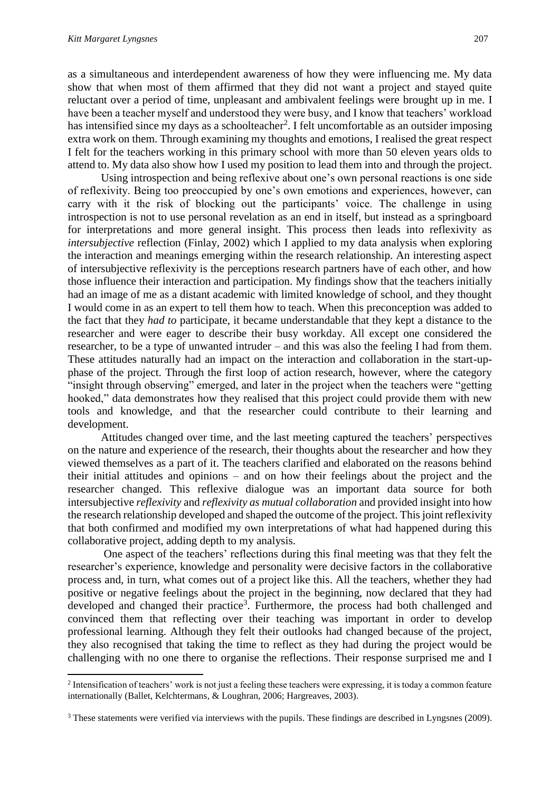**.** 

as a simultaneous and interdependent awareness of how they were influencing me. My data show that when most of them affirmed that they did not want a project and stayed quite reluctant over a period of time, unpleasant and ambivalent feelings were brought up in me. I have been a teacher myself and understood they were busy, and I know that teachers' workload has intensified since my days as a schoolteacher<sup>2</sup>. I felt uncomfortable as an outsider imposing extra work on them. Through examining my thoughts and emotions, I realised the great respect I felt for the teachers working in this primary school with more than 50 eleven years olds to attend to. My data also show how I used my position to lead them into and through the project.

Using introspection and being reflexive about one's own personal reactions is one side of reflexivity. Being too preoccupied by one's own emotions and experiences, however, can carry with it the risk of blocking out the participants' voice. The challenge in using introspection is not to use personal revelation as an end in itself, but instead as a springboard for interpretations and more general insight. This process then leads into reflexivity as *intersubjective* reflection (Finlay, 2002) which I applied to my data analysis when exploring the interaction and meanings emerging within the research relationship. An interesting aspect of intersubjective reflexivity is the perceptions research partners have of each other, and how those influence their interaction and participation. My findings show that the teachers initially had an image of me as a distant academic with limited knowledge of school, and they thought I would come in as an expert to tell them how to teach. When this preconception was added to the fact that they *had to* participate, it became understandable that they kept a distance to the researcher and were eager to describe their busy workday. All except one considered the researcher, to be a type of unwanted intruder – and this was also the feeling I had from them. These attitudes naturally had an impact on the interaction and collaboration in the start-upphase of the project. Through the first loop of action research, however, where the category "insight through observing" emerged, and later in the project when the teachers were "getting hooked," data demonstrates how they realised that this project could provide them with new tools and knowledge, and that the researcher could contribute to their learning and development.

Attitudes changed over time, and the last meeting captured the teachers' perspectives on the nature and experience of the research, their thoughts about the researcher and how they viewed themselves as a part of it. The teachers clarified and elaborated on the reasons behind their initial attitudes and opinions – and on how their feelings about the project and the researcher changed. This reflexive dialogue was an important data source for both intersubjective *reflexivity* and *reflexivity as mutual collaboration* and provided insight into how the research relationship developed and shaped the outcome of the project. This joint reflexivity that both confirmed and modified my own interpretations of what had happened during this collaborative project, adding depth to my analysis.

One aspect of the teachers' reflections during this final meeting was that they felt the researcher's experience, knowledge and personality were decisive factors in the collaborative process and, in turn, what comes out of a project like this. All the teachers, whether they had positive or negative feelings about the project in the beginning, now declared that they had developed and changed their practice<sup>3</sup>. Furthermore, the process had both challenged and convinced them that reflecting over their teaching was important in order to develop professional learning. Although they felt their outlooks had changed because of the project, they also recognised that taking the time to reflect as they had during the project would be challenging with no one there to organise the reflections. Their response surprised me and I

 $<sup>2</sup>$  Intensification of teachers' work is not just a feeling these teachers were expressing, it is today a common feature</sup> internationally (Ballet, Kelchtermans, & Loughran, 2006; Hargreaves, 2003).

<sup>&</sup>lt;sup>3</sup> These statements were verified via interviews with the pupils. These findings are described in Lyngsnes (2009).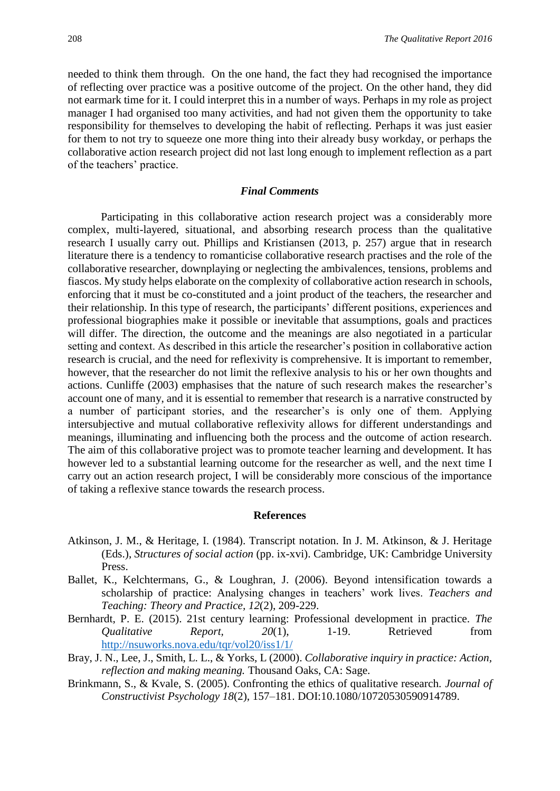needed to think them through. On the one hand, the fact they had recognised the importance of reflecting over practice was a positive outcome of the project. On the other hand, they did not earmark time for it. I could interpret this in a number of ways. Perhaps in my role as project manager I had organised too many activities, and had not given them the opportunity to take responsibility for themselves to developing the habit of reflecting. Perhaps it was just easier for them to not try to squeeze one more thing into their already busy workday, or perhaps the collaborative action research project did not last long enough to implement reflection as a part of the teachers' practice.

#### *Final Comments*

Participating in this collaborative action research project was a considerably more complex, multi-layered, situational, and absorbing research process than the qualitative research I usually carry out. Phillips and Kristiansen (2013, p. 257) argue that in research literature there is a tendency to romanticise collaborative research practises and the role of the collaborative researcher, downplaying or neglecting the ambivalences, tensions, problems and fiascos. My study helps elaborate on the complexity of collaborative action research in schools, enforcing that it must be co-constituted and a joint product of the teachers, the researcher and their relationship. In this type of research, the participants' different positions, experiences and professional biographies make it possible or inevitable that assumptions, goals and practices will differ. The direction, the outcome and the meanings are also negotiated in a particular setting and context. As described in this article the researcher's position in collaborative action research is crucial, and the need for reflexivity is comprehensive. It is important to remember, however, that the researcher do not limit the reflexive analysis to his or her own thoughts and actions. Cunliffe (2003) emphasises that the nature of such research makes the researcher's account one of many, and it is essential to remember that research is a narrative constructed by a number of participant stories, and the researcher's is only one of them. Applying intersubjective and mutual collaborative reflexivity allows for different understandings and meanings, illuminating and influencing both the process and the outcome of action research. The aim of this collaborative project was to promote teacher learning and development. It has however led to a substantial learning outcome for the researcher as well, and the next time I carry out an action research project, I will be considerably more conscious of the importance of taking a reflexive stance towards the research process.

#### **References**

- Atkinson, J. M., & Heritage, I. (1984). Transcript notation. In J. M. Atkinson, & J. Heritage (Eds.), *Structures of social action* (pp. ix-xvi). Cambridge, UK: Cambridge University Press.
- Ballet, K., Kelchtermans, G., & Loughran, J. (2006). Beyond intensification towards a scholarship of practice: Analysing changes in teachers' work lives. *Teachers and Teaching: Theory and Practice, 12*(2), 209-229.
- Bernhardt, P. E. (2015). 21st century learning: Professional development in practice. *The Qualitative Report, 20*(1), 1-19. Retrieved from <http://nsuworks.nova.edu/tqr/vol20/iss1/1/>
- Bray, J. N., Lee, J., Smith, L. L., & Yorks, L (2000). *Collaborative inquiry in practice: Action, reflection and making meaning.* Thousand Oaks, CA: Sage.
- Brinkmann, S., & Kvale, S. (2005). Confronting the ethics of qualitative research. *Journal of Constructivist Psychology 18*(2), 157–181. DOI:10.1080/10720530590914789.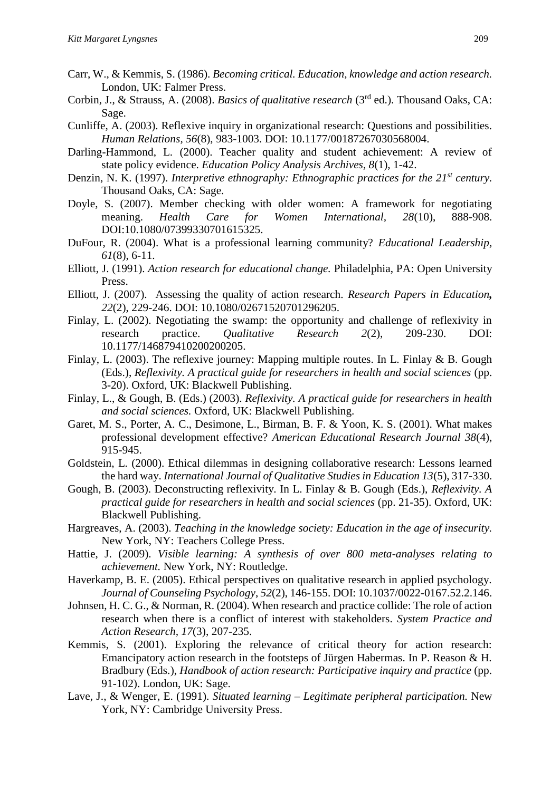- Carr, W., & Kemmis, S. (1986). *Becoming critical. Education, knowledge and action research.*  London, UK: Falmer Press.
- Corbin, J., & Strauss, A. (2008). *Basics of qualitative research* (3rd ed.). Thousand Oaks, CA: Sage.
- Cunliffe, A. (2003). Reflexive inquiry in organizational research: Questions and possibilities. *Human Relations, 56*(8), 983-1003. DOI: 10.1177/00187267030568004.
- Darling-Hammond, L. (2000). Teacher quality and student achievement: A review of state policy evidence. *Education Policy Analysis Archives, 8*(1), 1-42.
- Denzin, N. K. (1997). *Interpretive ethnography: Ethnographic practices for the 21st century.*  Thousand Oaks, CA: Sage.
- Doyle, S. (2007). Member checking with older women: A framework for negotiating meaning. *Health Care for Women International, 28*(10), 888-908. DOI:10.1080/07399330701615325.
- DuFour, R. (2004). What is a professional learning community? *Educational Leadership, 61*(8), 6-11.
- Elliott, J. (1991). *Action research for educational change.* Philadelphia, PA: Open University Press.
- Elliott, J. (2007). Assessing the quality of action research. *Research Papers in Education, 22*(2), 229-246. DOI: 10.1080/02671520701296205.
- Finlay, L. (2002). Negotiating the swamp: the opportunity and challenge of reflexivity in research practice. *Qualitative Research 2*(2), 209-230. DOI: 10.1177/146879410200200205.
- Finlay, L. (2003). The reflexive journey: Mapping multiple routes. In L. Finlay & B. Gough (Eds.), *Reflexivity. A practical guide for researchers in health and social sciences* (pp. 3-20). Oxford, UK: Blackwell Publishing.
- Finlay, L., & Gough, B. (Eds.) (2003). *Reflexivity. A practical guide for researchers in health and social sciences.* Oxford, UK: Blackwell Publishing.
- Garet, M. S., Porter, A. C., Desimone, L., Birman, B. F. & Yoon, K. S. (2001). What makes professional development effective? *American Educational Research Journal 38*(4), 915-945.
- Goldstein, L. (2000). Ethical dilemmas in designing collaborative research: Lessons learned the hard way. *International Journal of Qualitative Studies in Education 13*(5), 317-330.
- Gough, B. (2003). Deconstructing reflexivity. In L. Finlay & B. Gough (Eds.), *Reflexivity. A practical guide for researchers in health and social sciences (pp. 21-35). Oxford, UK:* Blackwell Publishing.
- Hargreaves, A. (2003). *Teaching in the knowledge society: Education in the age of insecurity.*  New York, NY: Teachers College Press.
- Hattie, J. (2009). *Visible learning: A synthesis of over 800 meta-analyses relating to achievement.* New York, NY: Routledge.
- Haverkamp, B. E. (2005). Ethical perspectives on qualitative research in applied psychology. *Journal of Counseling Psychology*, *52*(2), 146-155. DOI: 10.1037/0022-0167.52.2.146.
- Johnsen, H. C. G., & Norman, R. (2004). When research and practice collide: The role of action research when there is a conflict of interest with stakeholders. *System Practice and Action Research, 17*(3), 207-235.
- Kemmis, S. (2001). Exploring the relevance of critical theory for action research: Emancipatory action research in the footsteps of Jürgen Habermas. In P. Reason & H. Bradbury (Eds.), *Handbook of action research: Participative inquiry and practice* (pp. 91-102). London, UK: Sage.
- Lave, J., & Wenger, E. (1991). *Situated learning – Legitimate peripheral participation.* New York, NY: Cambridge University Press.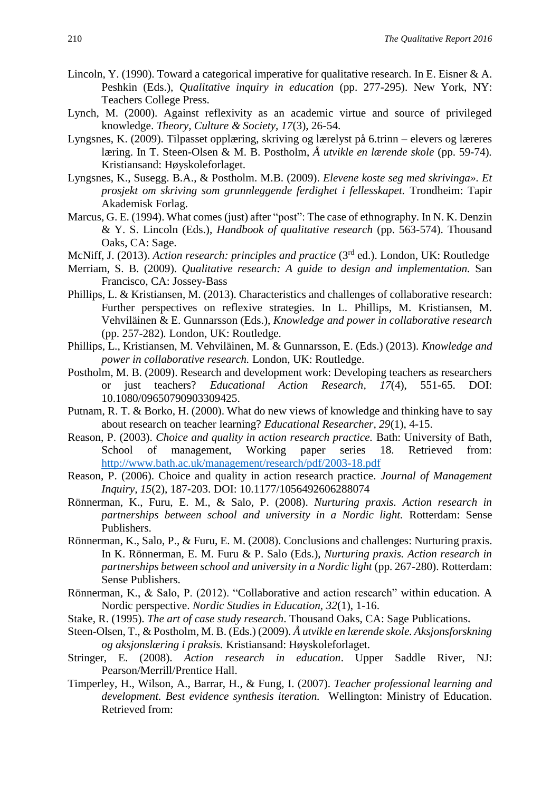- Lincoln, Y. (1990). Toward a categorical imperative for qualitative research. In E. Eisner & A. Peshkin (Eds.), *Qualitative inquiry in education* (pp. 277-295). New York, NY: Teachers College Press.
- Lynch, M. (2000). Against reflexivity as an academic virtue and source of privileged knowledge. *Theory, Culture & Society, 17*(3), 26-54.
- Lyngsnes, K. (2009). Tilpasset opplæring, skriving og lærelyst på 6.trinn elevers og læreres læring. In T. Steen-Olsen & M. B. Postholm, *Å utvikle en lærende skole* (pp. 59-74)*.*  Kristiansand: Høyskoleforlaget.
- Lyngsnes, K., Susegg. B.A., & Postholm. M.B. (2009). *Elevene koste seg med skrivinga». Et prosjekt om skriving som grunnleggende ferdighet i fellesskapet.* Trondheim: Tapir Akademisk Forlag.
- Marcus, G. E. (1994). What comes (just) after "post": The case of ethnography. In N. K. Denzin & Y. S. Lincoln (Eds.), *Handbook of qualitative research* (pp. 563-574). Thousand Oaks, CA: Sage.
- McNiff, J. (2013). *Action research: principles and practice* (3<sup>rd</sup> ed.). London, UK: Routledge
- Merriam, S. B. (2009). *Qualitative research: A guide to design and implementation.* San Francisco, CA: Jossey-Bass
- Phillips, L. & Kristiansen, M. (2013). Characteristics and challenges of collaborative research: Further perspectives on reflexive strategies. In L. Phillips, M. Kristiansen, M. Vehviläinen & E. Gunnarsson (Eds.), *Knowledge and power in collaborative research* (pp. 257-282)*.* London, UK: Routledge.
- Phillips, L., Kristiansen, M. Vehviläinen, M. & Gunnarsson, E. (Eds.) (2013). *Knowledge and power in collaborative research.* London, UK: Routledge.
- Postholm, M. B. (2009). Research and development work: Developing teachers as researchers or just teachers? *Educational Action Research, 17*(4), 551-65. DOI: 10.1080/09650790903309425.
- Putnam, R. T. & Borko, H. (2000). What do new views of knowledge and thinking have to say about research on teacher learning? *Educational Researcher, 29*(1), 4-15.
- Reason, P. (2003). *Choice and quality in action research practice.* Bath: University of Bath, School of management, Working paper series 18. Retrieved from: <http://www.bath.ac.uk/management/research/pdf/2003-18.pdf>
- Reason, P. (2006). Choice and quality in action research practice. *Journal of Management Inquiry, 15*(2), 187-203. DOI: 10.1177/1056492606288074
- Rönnerman, K., Furu, E. M., & Salo, P. (2008). *Nurturing praxis. Action research in partnerships between school and university in a Nordic light.* Rotterdam: Sense Publishers.
- Rönnerman, K., Salo, P., & Furu, E. M. (2008). Conclusions and challenges: Nurturing praxis. In K. Rönnerman, E. M. Furu & P. Salo (Eds.), *Nurturing praxis. Action research in partnerships between school and university in a Nordic light (pp. 267-280). Rotterdam:* Sense Publishers.
- Rönnerman, K., & Salo, P. (2012). "Collaborative and action research" within education. A Nordic perspective. *Nordic Studies in Education, 32*(1), 1-16.
- Stake, R. (1995). *The art of case study research*. Thousand Oaks, CA: Sage Publications**.**
- Steen-Olsen, T., & Postholm, M. B. (Eds.) (2009). *Å utvikle en lærende skole. Aksjonsforskning og aksjonslæring i praksis.* Kristiansand: Høyskoleforlaget.
- Stringer, E. (2008). *Action research in education*. Upper Saddle River, NJ: Pearson/Merrill/Prentice Hall.
- Timperley, H., Wilson, A., Barrar, H., & Fung, I. (2007). *Teacher professional learning and development. Best evidence synthesis iteration.* Wellington: Ministry of Education. Retrieved from: